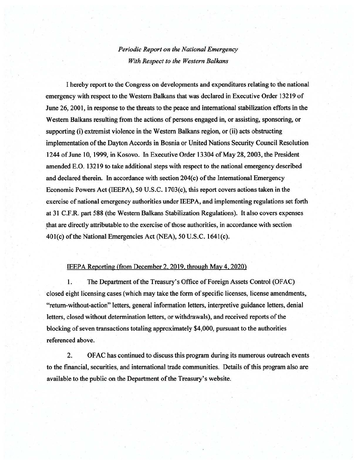## *Periodic Report on the National Emergency With Respect to the Western Balkans*

I hereby report to the Congress on developments and expenditures relating to the national emergency with respect to the Western Balkans that was declared in Executive Order 13219 of June 26, 2001, in response to the threats to the peace and international stabilization efforts in the Western Balkans resulting from the actions of persons engaged in, or assisting, sponsoring, or supporting (i) extremist violence in the Western Balkans region, or (ii) acts obstructing implementation of the Dayton Accords in Bosnia or United Nations Security Council Resolution 1244 of June 10, 1999, in Kosovo. In Executive Order 13304 of May 28,2003, the President amended E.O. 13219 to take additional steps with respect to the national emergency described and declared therein. In accordance with section  $204(c)$  of the International Emergency Economic Powers Act (IEEPA), 50 U.S.C. 1703(c); this report covers actions taken in the exercise of national emergency authorities under IEEPA, and implementing regulations set forth at 31 C.F.R. part 588 (the Western Balkans Stabilization Regulations). It also covers expenses ~hat are directly attributable to the exercise of those authorities, in accordance with section 40l(c) of the National Emergencies Act (NEA), 50 U.S.C. 164l(c).

## IEEPA Reporting (from December 2. 2019. through May 4, 2020)

1. The Department of the Treasury's Office of Foreign Assets Control (OFAC) closed eight licensing cases (which may take the form of specific licenses, license amendments, "return-without-action" letters, general information letters, interpretive guidance letters, denial letters, closed without determination letters, or withdrawals), and received reports of the blocking of seven transactions totaling approximately \$4,000, pursuant to the authorities referenced above.

2. OF AC has continued to discuss this program during its numerous outreach events to the fmancial, securities, and international trade communities. Details of this program also are available to the public on the Department of the Treasury's website.